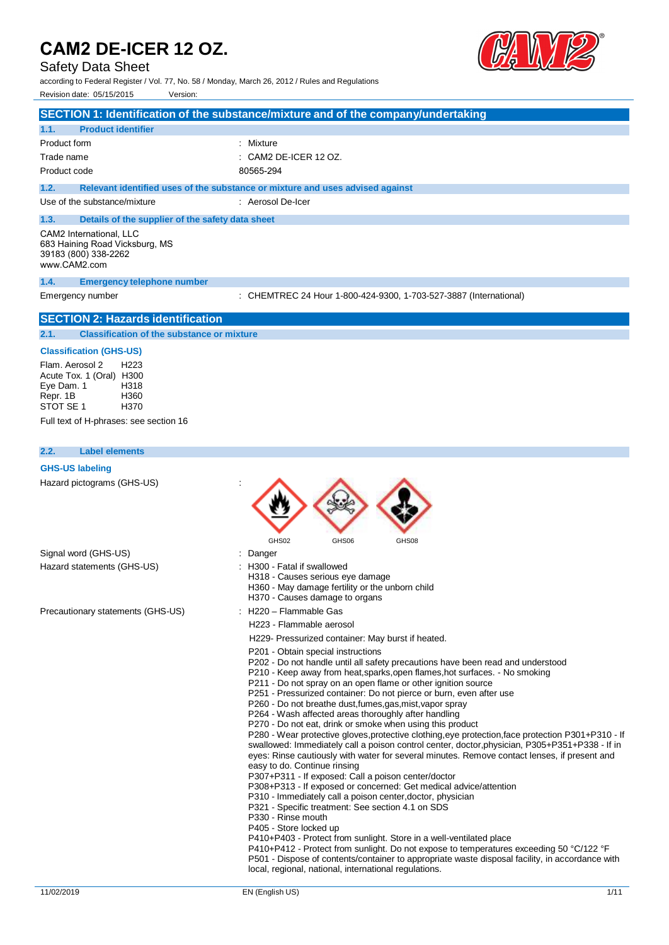# Safety Data Sheet

according to Federal Register / Vol. 77, No. 58 / Monday, March 26, 2012 / Rules and Regulations Revision date: 05/15/2015 Version:



|                                                                                                                                                                          | SECTION 1: Identification of the substance/mixture and of the company/undertaking                                                                                                                                                                                                                                                                                                                                                                                                                                                                                                                                                                                                                                                                                                                                                                                                                                                                                                                                                                                                                                                                                                                                                                                                                                                                                                                                                                                                                   |
|--------------------------------------------------------------------------------------------------------------------------------------------------------------------------|-----------------------------------------------------------------------------------------------------------------------------------------------------------------------------------------------------------------------------------------------------------------------------------------------------------------------------------------------------------------------------------------------------------------------------------------------------------------------------------------------------------------------------------------------------------------------------------------------------------------------------------------------------------------------------------------------------------------------------------------------------------------------------------------------------------------------------------------------------------------------------------------------------------------------------------------------------------------------------------------------------------------------------------------------------------------------------------------------------------------------------------------------------------------------------------------------------------------------------------------------------------------------------------------------------------------------------------------------------------------------------------------------------------------------------------------------------------------------------------------------------|
| <b>Product identifier</b><br>1.1.                                                                                                                                        |                                                                                                                                                                                                                                                                                                                                                                                                                                                                                                                                                                                                                                                                                                                                                                                                                                                                                                                                                                                                                                                                                                                                                                                                                                                                                                                                                                                                                                                                                                     |
| Product form                                                                                                                                                             | : Mixture                                                                                                                                                                                                                                                                                                                                                                                                                                                                                                                                                                                                                                                                                                                                                                                                                                                                                                                                                                                                                                                                                                                                                                                                                                                                                                                                                                                                                                                                                           |
| Trade name                                                                                                                                                               | CAM2 DE-ICER 12 OZ.                                                                                                                                                                                                                                                                                                                                                                                                                                                                                                                                                                                                                                                                                                                                                                                                                                                                                                                                                                                                                                                                                                                                                                                                                                                                                                                                                                                                                                                                                 |
| Product code                                                                                                                                                             | 80565-294                                                                                                                                                                                                                                                                                                                                                                                                                                                                                                                                                                                                                                                                                                                                                                                                                                                                                                                                                                                                                                                                                                                                                                                                                                                                                                                                                                                                                                                                                           |
| 1.2.                                                                                                                                                                     | Relevant identified uses of the substance or mixture and uses advised against                                                                                                                                                                                                                                                                                                                                                                                                                                                                                                                                                                                                                                                                                                                                                                                                                                                                                                                                                                                                                                                                                                                                                                                                                                                                                                                                                                                                                       |
| Use of the substance/mixture                                                                                                                                             | : Aerosol De-Icer                                                                                                                                                                                                                                                                                                                                                                                                                                                                                                                                                                                                                                                                                                                                                                                                                                                                                                                                                                                                                                                                                                                                                                                                                                                                                                                                                                                                                                                                                   |
| 1.3.<br>Details of the supplier of the safety data sheet                                                                                                                 |                                                                                                                                                                                                                                                                                                                                                                                                                                                                                                                                                                                                                                                                                                                                                                                                                                                                                                                                                                                                                                                                                                                                                                                                                                                                                                                                                                                                                                                                                                     |
| CAM2 International. LLC<br>683 Haining Road Vicksburg, MS<br>39183 (800) 338-2262<br>www.CAM2.com                                                                        |                                                                                                                                                                                                                                                                                                                                                                                                                                                                                                                                                                                                                                                                                                                                                                                                                                                                                                                                                                                                                                                                                                                                                                                                                                                                                                                                                                                                                                                                                                     |
| 1.4.<br><b>Emergency telephone number</b>                                                                                                                                |                                                                                                                                                                                                                                                                                                                                                                                                                                                                                                                                                                                                                                                                                                                                                                                                                                                                                                                                                                                                                                                                                                                                                                                                                                                                                                                                                                                                                                                                                                     |
| Emergency number                                                                                                                                                         | : CHEMTREC 24 Hour 1-800-424-9300, 1-703-527-3887 (International)                                                                                                                                                                                                                                                                                                                                                                                                                                                                                                                                                                                                                                                                                                                                                                                                                                                                                                                                                                                                                                                                                                                                                                                                                                                                                                                                                                                                                                   |
| <b>SECTION 2: Hazards identification</b>                                                                                                                                 |                                                                                                                                                                                                                                                                                                                                                                                                                                                                                                                                                                                                                                                                                                                                                                                                                                                                                                                                                                                                                                                                                                                                                                                                                                                                                                                                                                                                                                                                                                     |
| <b>Classification of the substance or mixture</b><br>2.1.                                                                                                                |                                                                                                                                                                                                                                                                                                                                                                                                                                                                                                                                                                                                                                                                                                                                                                                                                                                                                                                                                                                                                                                                                                                                                                                                                                                                                                                                                                                                                                                                                                     |
| <b>Classification (GHS-US)</b>                                                                                                                                           |                                                                                                                                                                                                                                                                                                                                                                                                                                                                                                                                                                                                                                                                                                                                                                                                                                                                                                                                                                                                                                                                                                                                                                                                                                                                                                                                                                                                                                                                                                     |
| Flam. Aerosol 2<br>H <sub>223</sub><br>Acute Tox. 1 (Oral) H300<br>Eye Dam. 1<br>H318<br>Repr. 1B<br>H360<br>STOT SE 1<br>H370<br>Full text of H-phrases: see section 16 |                                                                                                                                                                                                                                                                                                                                                                                                                                                                                                                                                                                                                                                                                                                                                                                                                                                                                                                                                                                                                                                                                                                                                                                                                                                                                                                                                                                                                                                                                                     |
| 2.2.<br><b>Label elements</b>                                                                                                                                            |                                                                                                                                                                                                                                                                                                                                                                                                                                                                                                                                                                                                                                                                                                                                                                                                                                                                                                                                                                                                                                                                                                                                                                                                                                                                                                                                                                                                                                                                                                     |
| <b>GHS-US labeling</b>                                                                                                                                                   |                                                                                                                                                                                                                                                                                                                                                                                                                                                                                                                                                                                                                                                                                                                                                                                                                                                                                                                                                                                                                                                                                                                                                                                                                                                                                                                                                                                                                                                                                                     |
| Hazard pictograms (GHS-US)                                                                                                                                               | GHS02<br>GHS06<br>GHS08                                                                                                                                                                                                                                                                                                                                                                                                                                                                                                                                                                                                                                                                                                                                                                                                                                                                                                                                                                                                                                                                                                                                                                                                                                                                                                                                                                                                                                                                             |
| Signal word (GHS-US)                                                                                                                                                     | : Danger                                                                                                                                                                                                                                                                                                                                                                                                                                                                                                                                                                                                                                                                                                                                                                                                                                                                                                                                                                                                                                                                                                                                                                                                                                                                                                                                                                                                                                                                                            |
| Hazard statements (GHS-US)                                                                                                                                               | : H300 - Fatal if swallowed<br>H318 - Causes serious eye damage<br>H360 - May damage fertility or the unborn child<br>H370 - Causes damage to organs                                                                                                                                                                                                                                                                                                                                                                                                                                                                                                                                                                                                                                                                                                                                                                                                                                                                                                                                                                                                                                                                                                                                                                                                                                                                                                                                                |
| Precautionary statements (GHS-US)                                                                                                                                        | H220 - Flammable Gas                                                                                                                                                                                                                                                                                                                                                                                                                                                                                                                                                                                                                                                                                                                                                                                                                                                                                                                                                                                                                                                                                                                                                                                                                                                                                                                                                                                                                                                                                |
|                                                                                                                                                                          | H223 - Flammable aerosol                                                                                                                                                                                                                                                                                                                                                                                                                                                                                                                                                                                                                                                                                                                                                                                                                                                                                                                                                                                                                                                                                                                                                                                                                                                                                                                                                                                                                                                                            |
|                                                                                                                                                                          | H229- Pressurized container: May burst if heated.                                                                                                                                                                                                                                                                                                                                                                                                                                                                                                                                                                                                                                                                                                                                                                                                                                                                                                                                                                                                                                                                                                                                                                                                                                                                                                                                                                                                                                                   |
|                                                                                                                                                                          | P201 - Obtain special instructions<br>P202 - Do not handle until all safety precautions have been read and understood<br>P210 - Keep away from heat, sparks, open flames, hot surfaces. - No smoking<br>P211 - Do not spray on an open flame or other ignition source<br>P251 - Pressurized container: Do not pierce or burn, even after use<br>P260 - Do not breathe dust, fumes, gas, mist, vapor spray<br>P264 - Wash affected areas thoroughly after handling<br>P270 - Do not eat, drink or smoke when using this product<br>P280 - Wear protective gloves, protective clothing, eye protection, face protection P301+P310 - If<br>swallowed: Immediately call a poison control center, doctor, physician, P305+P351+P338 - If in<br>eyes: Rinse cautiously with water for several minutes. Remove contact lenses, if present and<br>easy to do. Continue rinsing<br>P307+P311 - If exposed: Call a poison center/doctor<br>P308+P313 - If exposed or concerned: Get medical advice/attention<br>P310 - Immediately call a poison center, doctor, physician<br>P321 - Specific treatment: See section 4.1 on SDS<br>P330 - Rinse mouth<br>P405 - Store locked up<br>P410+P403 - Protect from sunlight. Store in a well-ventilated place<br>P410+P412 - Protect from sunlight. Do not expose to temperatures exceeding 50 °C/122 °F<br>P501 - Dispose of contents/container to appropriate waste disposal facility, in accordance with<br>local, regional, national, international regulations. |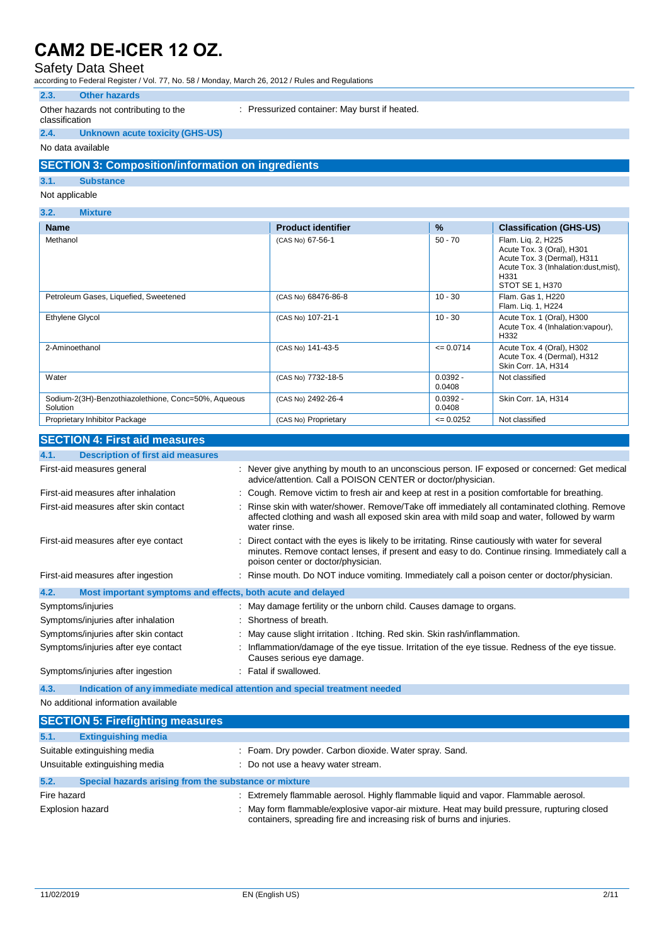### Safety Data Sheet

according to Federal Register / Vol. 77, No. 58 / Monday, March 26, 2012 / Rules and Regulations

### **2.3. Other hazards**

#### Other hazards not contributing to the classification

: Pressurized container: May burst if heated.

#### **2.4. Unknown acute toxicity (GHS-US)**

No data available

### **SECTION 3: Composition/information on ingredients**

### **3.1. Substance**

Not applicable

### **3.2. Mixture**

| <b>Name</b>                                                     | <b>Product identifier</b> | $\%$                 | <b>Classification (GHS-US)</b>                                                                                                                     |
|-----------------------------------------------------------------|---------------------------|----------------------|----------------------------------------------------------------------------------------------------------------------------------------------------|
| Methanol                                                        | (CAS No) 67-56-1          | $50 - 70$            | Flam. Lig. 2, H225<br>Acute Tox. 3 (Oral), H301<br>Acute Tox. 3 (Dermal), H311<br>Acute Tox. 3 (Inhalation:dust, mist),<br>H331<br>STOT SE 1, H370 |
| Petroleum Gases, Liquefied, Sweetened                           | (CAS No) 68476-86-8       | $10 - 30$            | Flam. Gas 1, H220<br>Flam. Lig. 1, H224                                                                                                            |
| <b>Ethylene Glycol</b>                                          | (CAS No) 107-21-1         | $10 - 30$            | Acute Tox. 1 (Oral), H300<br>Acute Tox. 4 (Inhalation: vapour),<br>H332                                                                            |
| 2-Aminoethanol                                                  | (CAS No) 141-43-5         | $= 0.0714$           | Acute Tox. 4 (Oral), H302<br>Acute Tox. 4 (Dermal), H312<br>Skin Corr. 1A, H314                                                                    |
| Water                                                           | (CAS No) 7732-18-5        | $0.0392 -$<br>0.0408 | Not classified                                                                                                                                     |
| Sodium-2(3H)-Benzothiazolethione, Conc=50%, Aqueous<br>Solution | (CAS No) 2492-26-4        | $0.0392 -$<br>0.0408 | Skin Corr. 1A, H314                                                                                                                                |
| Proprietary Inhibitor Package                                   | (CAS No) Proprietary      | $\leq 0.0252$        | Not classified                                                                                                                                     |

#### **SECTION 4: First aid measures**

| <u>ULUI IUN 7. III SURIU IIIGASUIGS</u>                             |                                                                                                                                                                                                                                             |
|---------------------------------------------------------------------|---------------------------------------------------------------------------------------------------------------------------------------------------------------------------------------------------------------------------------------------|
| 4.1.<br><b>Description of first aid measures</b>                    |                                                                                                                                                                                                                                             |
| First-aid measures general                                          | : Never give anything by mouth to an unconscious person. IF exposed or concerned: Get medical<br>advice/attention. Call a POISON CENTER or doctor/physician.                                                                                |
| First-aid measures after inhalation                                 | : Cough. Remove victim to fresh air and keep at rest in a position comfortable for breathing.                                                                                                                                               |
| First-aid measures after skin contact                               | Rinse skin with water/shower. Remove/Take off immediately all contaminated clothing. Remove<br>affected clothing and wash all exposed skin area with mild soap and water, followed by warm<br>water rinse.                                  |
| First-aid measures after eye contact                                | : Direct contact with the eyes is likely to be irritating. Rinse cautiously with water for several<br>minutes. Remove contact lenses, if present and easy to do. Continue rinsing. Immediately call a<br>poison center or doctor/physician. |
| First-aid measures after ingestion                                  | : Rinse mouth. Do NOT induce vomiting. Immediately call a poison center or doctor/physician.                                                                                                                                                |
| Most important symptoms and effects, both acute and delayed<br>4.2. |                                                                                                                                                                                                                                             |
| Symptoms/injuries                                                   | : May damage fertility or the unborn child. Causes damage to organs.                                                                                                                                                                        |
| Symptoms/injuries after inhalation                                  | : Shortness of breath.                                                                                                                                                                                                                      |
| Symptoms/injuries after skin contact                                | : May cause slight irritation . Itching. Red skin. Skin rash/inflammation.                                                                                                                                                                  |
| Symptoms/injuries after eye contact                                 | : Inflammation/damage of the eye tissue. Irritation of the eye tissue. Redness of the eye tissue.<br>Causes serious eye damage.                                                                                                             |
| Symptoms/injuries after ingestion                                   | : Fatal if swallowed.                                                                                                                                                                                                                       |
| 4.3.                                                                | Indication of any immediate medical attention and special treatment needed                                                                                                                                                                  |
| No additional information available                                 |                                                                                                                                                                                                                                             |

|                         | <b>SECTION 5: Firefighting measures</b>               |                                                                                                                                                                    |
|-------------------------|-------------------------------------------------------|--------------------------------------------------------------------------------------------------------------------------------------------------------------------|
| 5.1.                    | <b>Extinguishing media</b>                            |                                                                                                                                                                    |
|                         | Suitable extinguishing media                          | : Foam. Dry powder. Carbon dioxide. Water spray. Sand.                                                                                                             |
|                         | Unsuitable extinguishing media                        | : Do not use a heavy water stream.                                                                                                                                 |
| 5.2.                    | Special hazards arising from the substance or mixture |                                                                                                                                                                    |
| Fire hazard             |                                                       | Extremely flammable aerosol. Highly flammable liquid and vapor. Flammable aerosol.                                                                                 |
| <b>Explosion hazard</b> |                                                       | May form flammable/explosive vapor-air mixture. Heat may build pressure, rupturing closed<br>containers, spreading fire and increasing risk of burns and injuries. |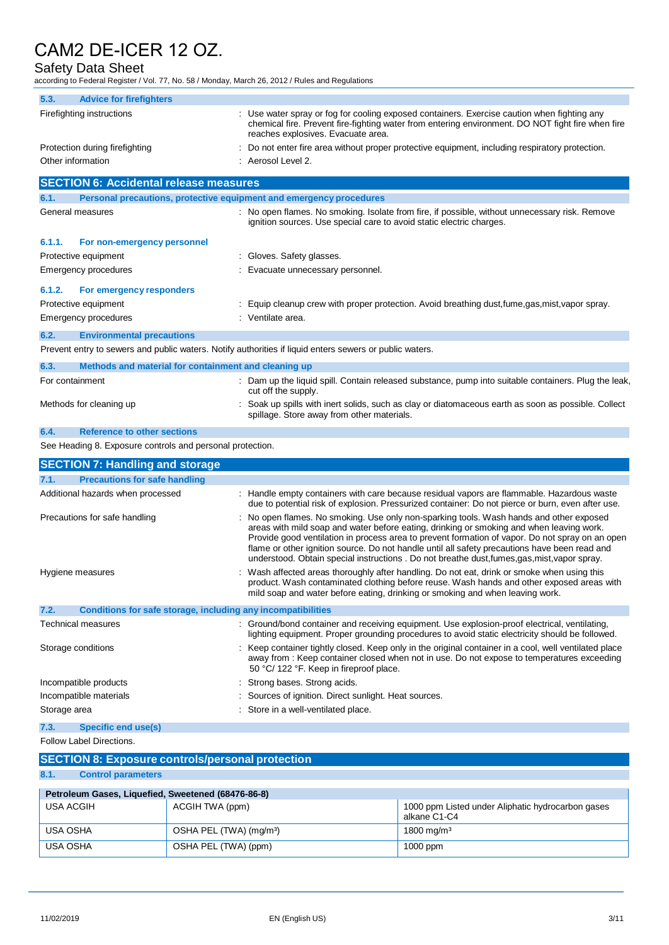# Safety Data Sheet

according to Federal Register / Vol. 77, No. 58 / Monday, March 26, 2012 / Rules and Regulations

| 5.3.<br><b>Advice for firefighters</b>                                                                  |                                                                                                                                                                                                                                                                                                                                                                                                                                                                                          |
|---------------------------------------------------------------------------------------------------------|------------------------------------------------------------------------------------------------------------------------------------------------------------------------------------------------------------------------------------------------------------------------------------------------------------------------------------------------------------------------------------------------------------------------------------------------------------------------------------------|
| Firefighting instructions                                                                               | : Use water spray or fog for cooling exposed containers. Exercise caution when fighting any<br>chemical fire. Prevent fire-fighting water from entering environment. DO NOT fight fire when fire<br>reaches explosives. Evacuate area.                                                                                                                                                                                                                                                   |
| Protection during firefighting                                                                          | Do not enter fire area without proper protective equipment, including respiratory protection.                                                                                                                                                                                                                                                                                                                                                                                            |
| Other information                                                                                       | : Aerosol Level 2.                                                                                                                                                                                                                                                                                                                                                                                                                                                                       |
| <b>SECTION 6: Accidental release measures</b>                                                           |                                                                                                                                                                                                                                                                                                                                                                                                                                                                                          |
| 6.1.<br>Personal precautions, protective equipment and emergency procedures                             |                                                                                                                                                                                                                                                                                                                                                                                                                                                                                          |
| General measures                                                                                        | No open flames. No smoking. Isolate from fire, if possible, without unnecessary risk. Remove<br>ignition sources. Use special care to avoid static electric charges.                                                                                                                                                                                                                                                                                                                     |
| 6.1.1.<br>For non-emergency personnel                                                                   |                                                                                                                                                                                                                                                                                                                                                                                                                                                                                          |
| Protective equipment                                                                                    | : Gloves. Safety glasses.                                                                                                                                                                                                                                                                                                                                                                                                                                                                |
| Emergency procedures                                                                                    | Evacuate unnecessary personnel.                                                                                                                                                                                                                                                                                                                                                                                                                                                          |
| 6.1.2.<br>For emergency responders                                                                      |                                                                                                                                                                                                                                                                                                                                                                                                                                                                                          |
| Protective equipment                                                                                    | : Equip cleanup crew with proper protection. Avoid breathing dust, fume, gas, mist, vapor spray.                                                                                                                                                                                                                                                                                                                                                                                         |
| Emergency procedures                                                                                    | : Ventilate area.                                                                                                                                                                                                                                                                                                                                                                                                                                                                        |
| 6.2.<br><b>Environmental precautions</b>                                                                |                                                                                                                                                                                                                                                                                                                                                                                                                                                                                          |
| Prevent entry to sewers and public waters. Notify authorities if liquid enters sewers or public waters. |                                                                                                                                                                                                                                                                                                                                                                                                                                                                                          |
| Methods and material for containment and cleaning up<br>6.3.                                            |                                                                                                                                                                                                                                                                                                                                                                                                                                                                                          |
| For containment                                                                                         | : Dam up the liquid spill. Contain released substance, pump into suitable containers. Plug the leak,<br>cut off the supply.                                                                                                                                                                                                                                                                                                                                                              |
| Methods for cleaning up                                                                                 | Soak up spills with inert solids, such as clay or diatomaceous earth as soon as possible. Collect<br>spillage. Store away from other materials.                                                                                                                                                                                                                                                                                                                                          |
| <b>Reference to other sections</b><br>6.4.                                                              |                                                                                                                                                                                                                                                                                                                                                                                                                                                                                          |
| See Heading 8. Exposure controls and personal protection.                                               |                                                                                                                                                                                                                                                                                                                                                                                                                                                                                          |
| <b>SECTION 7: Handling and storage</b>                                                                  |                                                                                                                                                                                                                                                                                                                                                                                                                                                                                          |
| 7.1.<br><b>Precautions for safe handling</b>                                                            |                                                                                                                                                                                                                                                                                                                                                                                                                                                                                          |
| Additional hazards when processed                                                                       | : Handle empty containers with care because residual vapors are flammable. Hazardous waste<br>due to potential risk of explosion. Pressurized container: Do not pierce or burn, even after use.                                                                                                                                                                                                                                                                                          |
| Precautions for safe handling                                                                           | : No open flames. No smoking. Use only non-sparking tools. Wash hands and other exposed<br>areas with mild soap and water before eating, drinking or smoking and when leaving work.<br>Provide good ventilation in process area to prevent formation of vapor. Do not spray on an open<br>flame or other ignition source. Do not handle until all safety precautions have been read and<br>understood. Obtain special instructions . Do not breathe dust, fumes, gas, mist, vapor spray. |
| Hygiene measures                                                                                        | Wash affected areas thoroughly after handling. Do not eat, drink or smoke when using this<br>product. Wash contaminated clothing before reuse. Wash hands and other exposed areas with<br>mild soap and water before eating, drinking or smoking and when leaving work.                                                                                                                                                                                                                  |
| 7.2.<br>Conditions for safe storage, including any incompatibilities                                    |                                                                                                                                                                                                                                                                                                                                                                                                                                                                                          |
| Technical measures                                                                                      | : Ground/bond container and receiving equipment. Use explosion-proof electrical, ventilating,<br>lighting equipment. Proper grounding procedures to avoid static electricity should be followed.                                                                                                                                                                                                                                                                                         |
| Storage conditions                                                                                      | : Keep container tightly closed. Keep only in the original container in a cool, well ventilated place<br>away from : Keep container closed when not in use. Do not expose to temperatures exceeding<br>50 °C/ 122 °F. Keep in fireproof place.                                                                                                                                                                                                                                           |
| Incompatible products                                                                                   | : Strong bases. Strong acids.                                                                                                                                                                                                                                                                                                                                                                                                                                                            |
| Incompatible materials                                                                                  | : Sources of ignition. Direct sunlight. Heat sources.                                                                                                                                                                                                                                                                                                                                                                                                                                    |
| Storage area                                                                                            | : Store in a well-ventilated place.                                                                                                                                                                                                                                                                                                                                                                                                                                                      |
| 7.3.<br><b>Specific end use(s)</b>                                                                      |                                                                                                                                                                                                                                                                                                                                                                                                                                                                                          |
| Follow Label Directions.                                                                                |                                                                                                                                                                                                                                                                                                                                                                                                                                                                                          |

# **SECTION 8: Exposure controls/personal protection**

**8.1. Control parameters**

| Petroleum Gases, Liquefied, Sweetened (68476-86-8) |                                     |                                                                   |  |  |
|----------------------------------------------------|-------------------------------------|-------------------------------------------------------------------|--|--|
| USA ACGIH                                          | ACGIH TWA (ppm)                     | 1000 ppm Listed under Aliphatic hydrocarbon gases<br>alkane C1-C4 |  |  |
| USA OSHA                                           | OSHA PEL (TWA) (mg/m <sup>3</sup> ) | 1800 mg/m $3$                                                     |  |  |
| USA OSHA                                           | , OSHA PEL (TWA) (ppm)              | $1000$ ppm                                                        |  |  |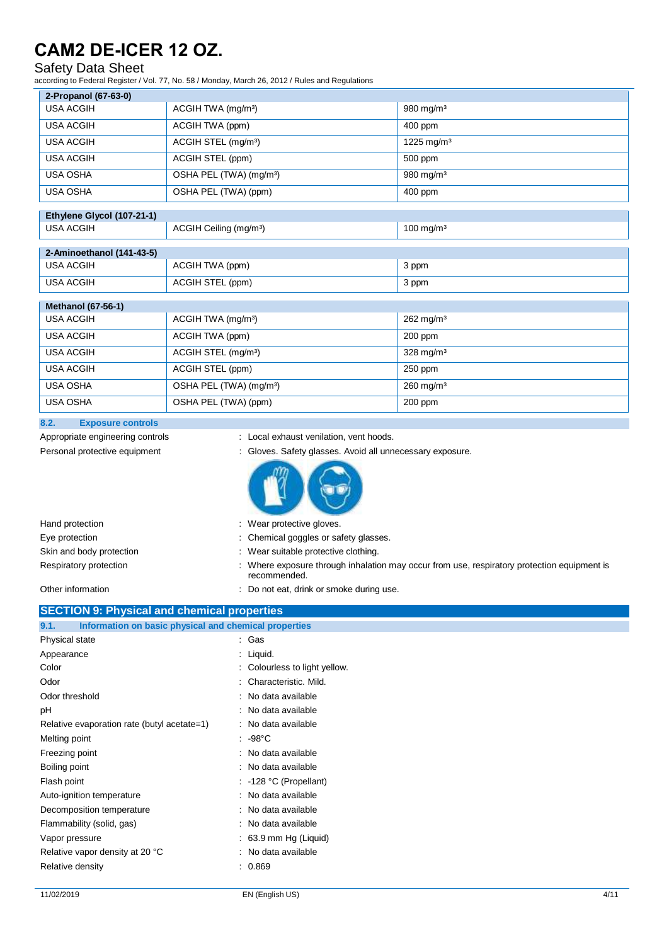## Safety Data Sheet

according to Federal Register / Vol. 77, No. 58 / Monday, March 26, 2012 / Rules and Regulations

| 2-Propanol (67-63-0)       |                                     |                          |  |  |
|----------------------------|-------------------------------------|--------------------------|--|--|
| <b>USA ACGIH</b>           | ACGIH TWA (mg/m <sup>3</sup> )      | 980 mg/m $3$             |  |  |
| <b>USA ACGIH</b>           | ACGIH TWA (ppm)                     | 400 ppm                  |  |  |
| <b>USA ACGIH</b>           | ACGIH STEL (mg/m <sup>3</sup> )     | $1225$ mg/m <sup>3</sup> |  |  |
| <b>USA ACGIH</b>           | ACGIH STEL (ppm)                    | 500 ppm                  |  |  |
| <b>USA OSHA</b>            | OSHA PEL (TWA) (mg/m <sup>3</sup> ) | 980 mg/m <sup>3</sup>    |  |  |
| <b>USA OSHA</b>            | OSHA PEL (TWA) (ppm)                | 400 ppm                  |  |  |
| Ethylene Glycol (107-21-1) |                                     |                          |  |  |
| <b>USA ACGIH</b>           | ACGIH Ceiling (mg/m <sup>3</sup> )  | $100$ mg/m <sup>3</sup>  |  |  |
| 2-Aminoethanol (141-43-5)  |                                     |                          |  |  |
| <b>USA ACGIH</b>           | ACGIH TWA (ppm)                     | 3 ppm                    |  |  |
| <b>USA ACGIH</b>           | ACGIH STEL (ppm)                    | 3 ppm                    |  |  |
| <b>Methanol (67-56-1)</b>  |                                     |                          |  |  |
| <b>USA ACGIH</b>           | ACGIH TWA (mg/m <sup>3</sup> )      | 262 mg/m <sup>3</sup>    |  |  |
| <b>USA ACGIH</b>           | ACGIH TWA (ppm)                     | 200 ppm                  |  |  |
| <b>USA ACGIH</b>           | ACGIH STEL (mg/m <sup>3</sup> )     | 328 mg/m <sup>3</sup>    |  |  |
| <b>USA ACGIH</b>           | ACGIH STEL (ppm)                    | 250 ppm                  |  |  |
| <b>USA OSHA</b>            | OSHA PEL (TWA) (mg/m <sup>3</sup> ) | $260$ mg/m <sup>3</sup>  |  |  |
| <b>USA OSHA</b>            | OSHA PEL (TWA) (ppm)                | 200 ppm                  |  |  |

### **8.2. Exposure controls**

Appropriate engineering controls : Local exhaust venilation, vent hoods.

- 
- 





| Hand protection          | : Wear protective gloves.                                                                                   |
|--------------------------|-------------------------------------------------------------------------------------------------------------|
| Eye protection           | : Chemical goggles or safety glasses.                                                                       |
| Skin and body protection | : Wear suitable protective clothing.                                                                        |
| Respiratory protection   | : Where exposure through inhalation may occur from use, respiratory protection equipment is<br>recommended. |
| Other information        | Do not eat, drink or smoke during use.                                                                      |

### **SECTION 9: Physical and chemical properties 9.1. Information on basic physical and chemical properties**

| Physical state                              | : Gas                            |
|---------------------------------------------|----------------------------------|
| Appearance                                  | : Liquid.                        |
| Color                                       | : Colourless to light yellow.    |
| Odor                                        | : Characteristic, Mild.          |
| Odor threshold                              | : No data available              |
| рH                                          | : No data available              |
| Relative evaporation rate (butyl acetate=1) | : No data available              |
| Melting point                               | : -98°C                          |
| Freezing point                              | : No data available              |
| Boiling point                               | : No data available              |
| Flash point                                 | : -128 °C (Propellant)           |
| Auto-ignition temperature                   | : No data available              |
| Decomposition temperature                   | : No data available              |
| Flammability (solid, gas)                   | : No data available              |
| Vapor pressure                              | $\therefore$ 63.9 mm Hg (Liquid) |
| Relative vapor density at 20 °C             | : No data available              |
| Relative density                            | 0.869                            |
|                                             |                                  |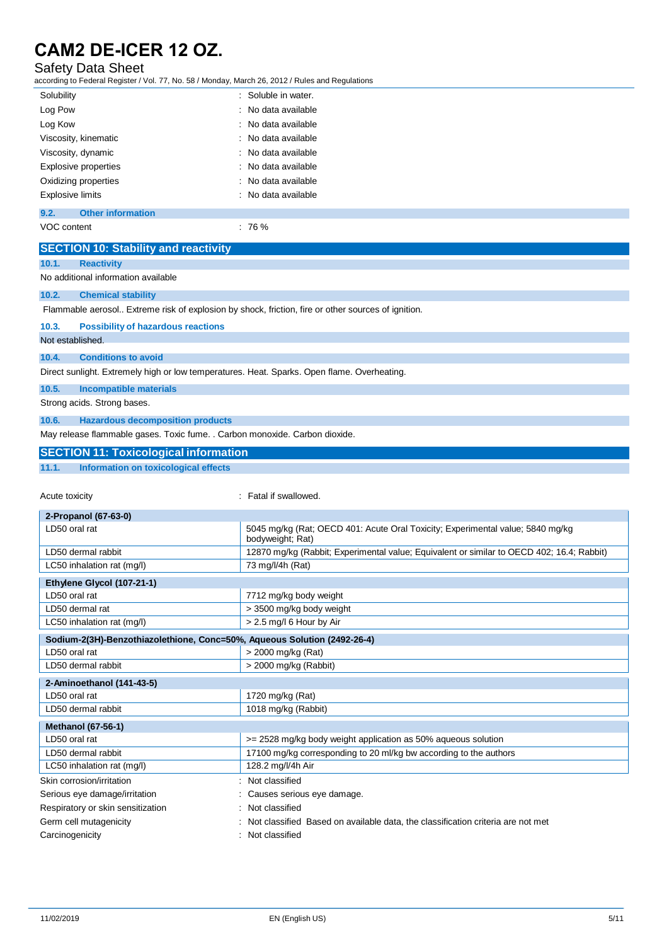# Safety Data Sheet

according to Federal Register / Vol. 77, No. 58 / Monday, March 26, 2012 / Rules and Regulations

| Solubility       |                          | : Soluble in water. |
|------------------|--------------------------|---------------------|
| Log Pow          |                          | : No data available |
| Log Kow          |                          | : No data available |
|                  | Viscosity, kinematic     | : No data available |
|                  | Viscosity, dynamic       | : No data available |
|                  | Explosive properties     | : No data available |
|                  | Oxidizing properties     | : No data available |
| Explosive limits |                          | : No data available |
| 9.2.             | <b>Other information</b> |                     |
|                  |                          |                     |

VOC content : 76 %

|                             | <b>SECTION 10: Stability and reactivity</b>                                                        |  |  |
|-----------------------------|----------------------------------------------------------------------------------------------------|--|--|
| 10.1.                       | <b>Reactivity</b>                                                                                  |  |  |
|                             | No additional information available                                                                |  |  |
| 10.2.                       | <b>Chemical stability</b>                                                                          |  |  |
|                             | Flammable aerosol Extreme risk of explosion by shock, friction, fire or other sources of ignition. |  |  |
| 10.3.                       | <b>Possibility of hazardous reactions</b>                                                          |  |  |
|                             | Not established.                                                                                   |  |  |
| 10.4.                       | <b>Conditions to avoid</b>                                                                         |  |  |
|                             | Direct sunlight. Extremely high or low temperatures. Heat. Sparks. Open flame. Overheating.        |  |  |
| 10.5.                       | <b>Incompatible materials</b>                                                                      |  |  |
| Strong acids. Strong bases. |                                                                                                    |  |  |
| 10.6.                       | <b>Hazardous decomposition products</b>                                                            |  |  |
|                             | May release flammable gases. Toxic fume. . Carbon monoxide. Carbon dioxide.                        |  |  |
|                             | <b>SECTION 11: Toxicological information</b>                                                       |  |  |
| 11.1.                       | Information on toxicological effects                                                               |  |  |

Acute toxicity **in the case of the case of the case of the case of the case of the case of the case of the case of the case of the case of the case of the case of the case of the case of the case of the case of the case of** 

| 2-Propanol (67-63-0)                                                                                      |                                                                                                    |  |
|-----------------------------------------------------------------------------------------------------------|----------------------------------------------------------------------------------------------------|--|
| LD50 oral rat                                                                                             | 5045 mg/kg (Rat; OECD 401: Acute Oral Toxicity; Experimental value; 5840 mg/kg<br>bodyweight; Rat) |  |
| LD50 dermal rabbit                                                                                        | 12870 mg/kg (Rabbit; Experimental value; Equivalent or similar to OECD 402; 16.4; Rabbit)          |  |
| LC50 inhalation rat (mg/l)                                                                                | 73 mg/l/4h (Rat)                                                                                   |  |
| Ethylene Glycol (107-21-1)                                                                                |                                                                                                    |  |
| LD50 oral rat                                                                                             | 7712 mg/kg body weight                                                                             |  |
| LD50 dermal rat                                                                                           | > 3500 mg/kg body weight                                                                           |  |
| LC50 inhalation rat (mg/l)                                                                                | > 2.5 mg/l 6 Hour by Air                                                                           |  |
| Sodium-2(3H)-Benzothiazolethione, Conc=50%, Aqueous Solution (2492-26-4)                                  |                                                                                                    |  |
| LD50 oral rat                                                                                             | > 2000 mg/kg (Rat)                                                                                 |  |
| LD50 dermal rabbit                                                                                        | > 2000 mg/kg (Rabbit)                                                                              |  |
| 2-Aminoethanol (141-43-5)                                                                                 |                                                                                                    |  |
| LD50 oral rat                                                                                             | 1720 mg/kg (Rat)                                                                                   |  |
| LD50 dermal rabbit                                                                                        | 1018 mg/kg (Rabbit)                                                                                |  |
| <b>Methanol (67-56-1)</b>                                                                                 |                                                                                                    |  |
| LD50 oral rat                                                                                             | >= 2528 mg/kg body weight application as 50% aqueous solution                                      |  |
| LD50 dermal rabbit                                                                                        | 17100 mg/kg corresponding to 20 ml/kg bw according to the authors                                  |  |
| LC50 inhalation rat (mg/l)                                                                                | 128.2 mg/l/4h Air                                                                                  |  |
| Skin corrosion/irritation                                                                                 | Not classified                                                                                     |  |
| Serious eye damage/irritation                                                                             | Causes serious eye damage.                                                                         |  |
| Respiratory or skin sensitization                                                                         | Not classified                                                                                     |  |
| Germ cell mutagenicity<br>Not classified Based on available data, the classification criteria are not met |                                                                                                    |  |
| Carcinogenicity                                                                                           | Not classified                                                                                     |  |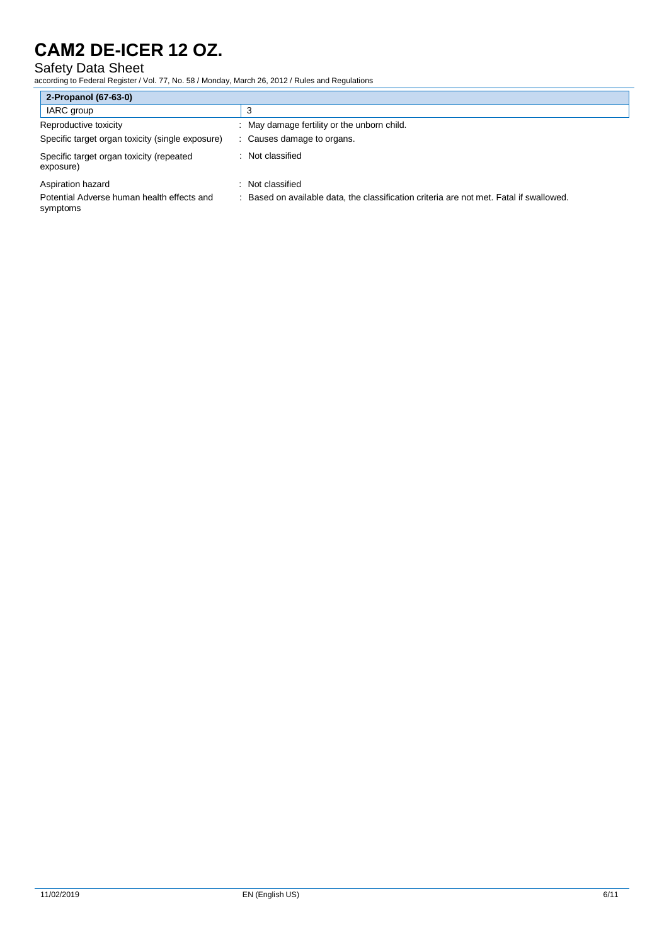# Safety Data Sheet

according to Federal Register / Vol. 77, No. 58 / Monday, March 26, 2012 / Rules and Regulations

| 2-Propanol (67-63-0)                                   |                                                                                       |  |
|--------------------------------------------------------|---------------------------------------------------------------------------------------|--|
| IARC group                                             | 3                                                                                     |  |
| Reproductive toxicity                                  | : May damage fertility or the unborn child.                                           |  |
| Specific target organ toxicity (single exposure)       | Causes damage to organs.                                                              |  |
| Specific target organ toxicity (repeated<br>exposure)  | : Not classified                                                                      |  |
| Aspiration hazard                                      | Not classified                                                                        |  |
| Potential Adverse human health effects and<br>symptoms | Based on available data, the classification criteria are not met. Fatal if swallowed. |  |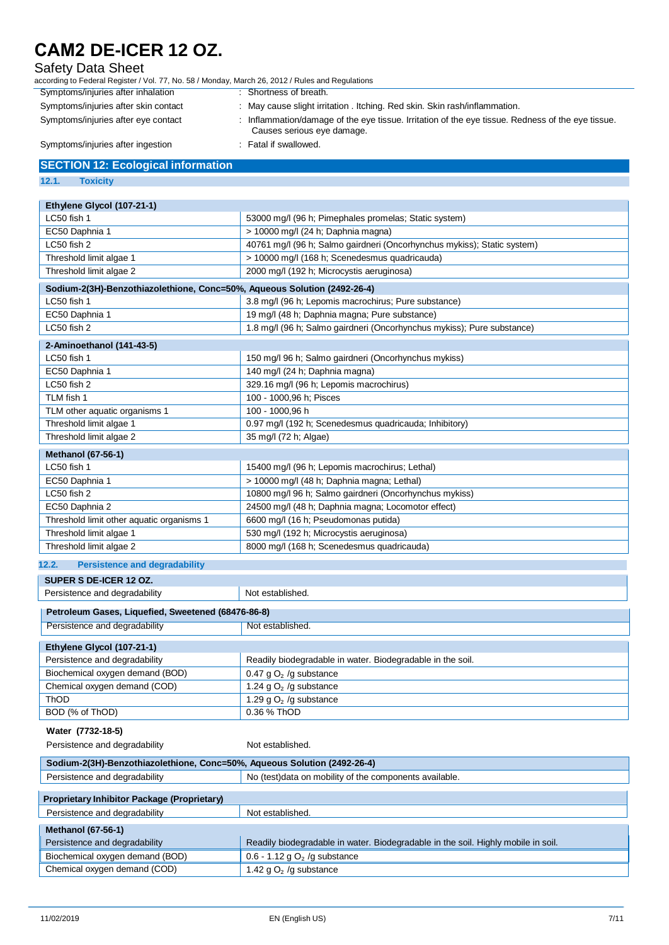## Safety Data Sheet

| according to Federal Register / Vol. 77, No. 58 / Monday, March 26, 2012 / Rules and Regulations |                        |
|--------------------------------------------------------------------------------------------------|------------------------|
| Symptoms/injuries after inhalation                                                               | : Shortness of breath. |

Symptoms/injuries after skin contact : May cause slight irritation . Itching. Red skin. Skin rash/inflammation. Symptoms/injuries after eye contact : Inflammation/damage of the eye tissue. Irritation of the eye tissue. Redness of the eye tissue. Causes serious eye damage.<br>: Fatal if swallowed. Symptoms/injuries after ingestion

### **SECTION 12: Ecological information**

### **12.1. Toxicity**

| Ethylene Glycol (107-21-1)                                               |                                                                                   |  |
|--------------------------------------------------------------------------|-----------------------------------------------------------------------------------|--|
| LC50 fish 1                                                              | 53000 mg/l (96 h; Pimephales promelas; Static system)                             |  |
| EC50 Daphnia 1                                                           | > 10000 mg/l (24 h; Daphnia magna)                                                |  |
| LC50 fish 2                                                              | 40761 mg/l (96 h; Salmo gairdneri (Oncorhynchus mykiss); Static system)           |  |
| Threshold limit algae 1                                                  | > 10000 mg/l (168 h; Scenedesmus quadricauda)                                     |  |
| Threshold limit algae 2                                                  | 2000 mg/l (192 h; Microcystis aeruginosa)                                         |  |
| Sodium-2(3H)-Benzothiazolethione, Conc=50%, Aqueous Solution (2492-26-4) |                                                                                   |  |
| LC50 fish 1                                                              | 3.8 mg/l (96 h; Lepomis macrochirus; Pure substance)                              |  |
| EC50 Daphnia 1                                                           | 19 mg/l (48 h; Daphnia magna; Pure substance)                                     |  |
| LC50 fish 2                                                              | 1.8 mg/l (96 h; Salmo gairdneri (Oncorhynchus mykiss); Pure substance)            |  |
| 2-Aminoethanol (141-43-5)                                                |                                                                                   |  |
| LC50 fish 1                                                              | 150 mg/l 96 h; Salmo gairdneri (Oncorhynchus mykiss)                              |  |
| EC50 Daphnia 1                                                           | 140 mg/l (24 h; Daphnia magna)                                                    |  |
| LC50 fish 2                                                              | 329.16 mg/l (96 h; Lepomis macrochirus)                                           |  |
| TLM fish 1                                                               | 100 - 1000,96 h; Pisces                                                           |  |
| TLM other aquatic organisms 1                                            | 100 - 1000,96 h                                                                   |  |
| Threshold limit algae 1                                                  | 0.97 mg/l (192 h; Scenedesmus quadricauda; Inhibitory)                            |  |
| Threshold limit algae 2                                                  | 35 mg/l (72 h; Algae)                                                             |  |
| <b>Methanol (67-56-1)</b>                                                |                                                                                   |  |
| LC50 fish 1                                                              | 15400 mg/l (96 h; Lepomis macrochirus; Lethal)                                    |  |
| EC50 Daphnia 1                                                           | > 10000 mg/l (48 h; Daphnia magna; Lethal)                                        |  |
| LC50 fish 2                                                              | 10800 mg/l 96 h; Salmo gairdneri (Oncorhynchus mykiss)                            |  |
| EC50 Daphnia 2                                                           | 24500 mg/l (48 h; Daphnia magna; Locomotor effect)                                |  |
| Threshold limit other aquatic organisms 1                                | 6600 mg/l (16 h; Pseudomonas putida)                                              |  |
| Threshold limit algae 1                                                  | 530 mg/l (192 h; Microcystis aeruginosa)                                          |  |
| Threshold limit algae 2                                                  | 8000 mg/l (168 h; Scenedesmus quadricauda)                                        |  |
|                                                                          |                                                                                   |  |
| 12.2.<br><b>Persistence and degradability</b>                            |                                                                                   |  |
| SUPER S DE-ICER 12 OZ.                                                   |                                                                                   |  |
| Persistence and degradability<br>Not established.                        |                                                                                   |  |
| Petroleum Gases, Liquefied, Sweetened (68476-86-8)                       |                                                                                   |  |
| Persistence and degradability                                            | Not established.                                                                  |  |
| Ethylene Glycol (107-21-1)                                               |                                                                                   |  |
| Persistence and degradability                                            | Readily biodegradable in water. Biodegradable in the soil.                        |  |
| Biochemical oxygen demand (BOD)                                          | 0.47 g $O2$ /g substance                                                          |  |
| Chemical oxygen demand (COD)                                             | 1.24 g $O2$ /g substance                                                          |  |
| ThOD                                                                     | 1.29 g $O2$ /g substance                                                          |  |
| BOD (% of ThOD)                                                          | 0.36 % ThOD                                                                       |  |
| Water (7732-18-5)                                                        |                                                                                   |  |
| Persistence and degradability                                            | Not established.                                                                  |  |
|                                                                          |                                                                                   |  |
| Sodium-2(3H)-Benzothiazolethione, Conc=50%, Aqueous Solution (2492-26-4) |                                                                                   |  |
| Persistence and degradability                                            | No (test)data on mobility of the components available.                            |  |
| <b>Proprietary Inhibitor Package (Proprietary)</b>                       |                                                                                   |  |
| Persistence and degradability                                            | Not established.                                                                  |  |
| <b>Methanol (67-56-1)</b>                                                |                                                                                   |  |
| Persistence and degradability                                            | Readily biodegradable in water. Biodegradable in the soil. Highly mobile in soil. |  |

Chemical oxygen demand (COD)

Biochemical oxygen demand (BOD) 0.6 - 1.12 g O<sub>2</sub> /g substance<br>Chemical oxygen demand (COD) 1.42 g O<sub>2</sub> /g substance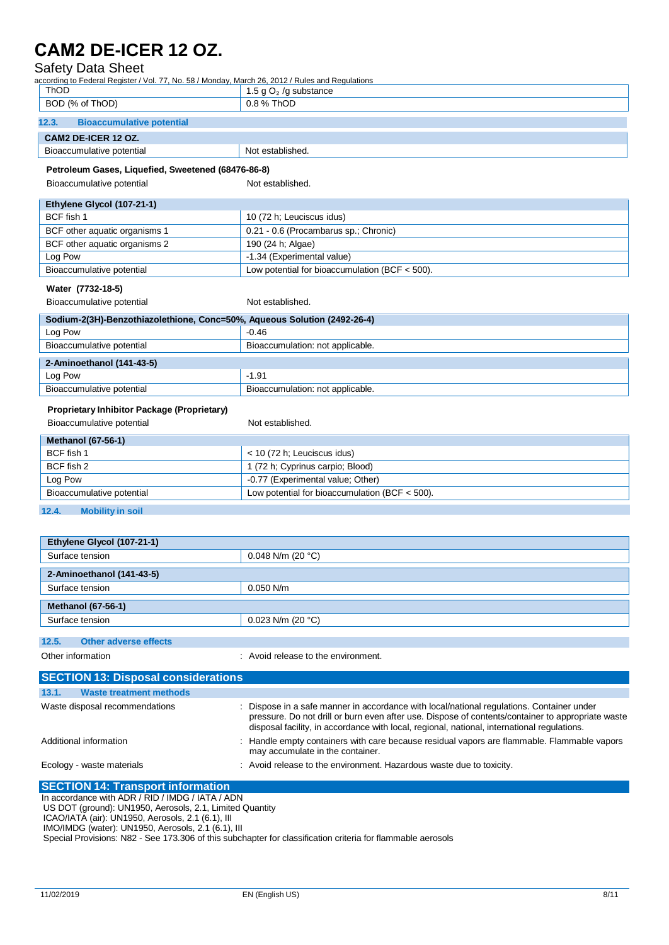| Safety Data Sheet                                                                                |                                                                                                                                                                                                                                                                                               |  |
|--------------------------------------------------------------------------------------------------|-----------------------------------------------------------------------------------------------------------------------------------------------------------------------------------------------------------------------------------------------------------------------------------------------|--|
| according to Federal Register / Vol. 77, No. 58 / Monday, March 26, 2012 / Rules and Regulations |                                                                                                                                                                                                                                                                                               |  |
| ThOD<br>1.5 g $O2$ /g substance<br>BOD (% of ThOD)<br>0.8 % ThOD                                 |                                                                                                                                                                                                                                                                                               |  |
|                                                                                                  |                                                                                                                                                                                                                                                                                               |  |
| 12.3.<br><b>Bioaccumulative potential</b>                                                        |                                                                                                                                                                                                                                                                                               |  |
| CAM2 DE-ICER 12 OZ.                                                                              |                                                                                                                                                                                                                                                                                               |  |
| Bioaccumulative potential                                                                        | Not established.                                                                                                                                                                                                                                                                              |  |
| Petroleum Gases, Liquefied, Sweetened (68476-86-8)                                               |                                                                                                                                                                                                                                                                                               |  |
| Bioaccumulative potential                                                                        | Not established.                                                                                                                                                                                                                                                                              |  |
|                                                                                                  |                                                                                                                                                                                                                                                                                               |  |
| Ethylene Glycol (107-21-1)                                                                       |                                                                                                                                                                                                                                                                                               |  |
| BCF fish 1                                                                                       | 10 (72 h; Leuciscus idus)                                                                                                                                                                                                                                                                     |  |
| BCF other aquatic organisms 1                                                                    | 0.21 - 0.6 (Procambarus sp.; Chronic)                                                                                                                                                                                                                                                         |  |
| BCF other aquatic organisms 2                                                                    | 190 (24 h; Algae)                                                                                                                                                                                                                                                                             |  |
| Log Pow                                                                                          | -1.34 (Experimental value)                                                                                                                                                                                                                                                                    |  |
| Bioaccumulative potential                                                                        | Low potential for bioaccumulation (BCF < 500).                                                                                                                                                                                                                                                |  |
| Water (7732-18-5)                                                                                |                                                                                                                                                                                                                                                                                               |  |
| Bioaccumulative potential                                                                        | Not established.                                                                                                                                                                                                                                                                              |  |
| Sodium-2(3H)-Benzothiazolethione, Conc=50%, Aqueous Solution (2492-26-4)                         |                                                                                                                                                                                                                                                                                               |  |
| Log Pow                                                                                          | $-0.46$                                                                                                                                                                                                                                                                                       |  |
| Bioaccumulative potential                                                                        | Bioaccumulation: not applicable.                                                                                                                                                                                                                                                              |  |
|                                                                                                  |                                                                                                                                                                                                                                                                                               |  |
| 2-Aminoethanol (141-43-5)                                                                        |                                                                                                                                                                                                                                                                                               |  |
| Log Pow                                                                                          | $-1.91$                                                                                                                                                                                                                                                                                       |  |
| Bioaccumulative potential                                                                        | Bioaccumulation: not applicable.                                                                                                                                                                                                                                                              |  |
| Proprietary Inhibitor Package (Proprietary)                                                      |                                                                                                                                                                                                                                                                                               |  |
| Bioaccumulative potential                                                                        | Not established.                                                                                                                                                                                                                                                                              |  |
| <b>Methanol (67-56-1)</b>                                                                        |                                                                                                                                                                                                                                                                                               |  |
| BCF fish 1                                                                                       | < 10 (72 h; Leuciscus idus)                                                                                                                                                                                                                                                                   |  |
| BCF fish 2                                                                                       | 1 (72 h; Cyprinus carpio; Blood)                                                                                                                                                                                                                                                              |  |
| Log Pow                                                                                          | -0.77 (Experimental value; Other)                                                                                                                                                                                                                                                             |  |
| Bioaccumulative potential                                                                        | Low potential for bioaccumulation (BCF < 500).                                                                                                                                                                                                                                                |  |
|                                                                                                  |                                                                                                                                                                                                                                                                                               |  |
| 12.4.<br><b>Mobility in soil</b>                                                                 |                                                                                                                                                                                                                                                                                               |  |
|                                                                                                  |                                                                                                                                                                                                                                                                                               |  |
| Ethylene Glycol (107-21-1)                                                                       |                                                                                                                                                                                                                                                                                               |  |
| Surface tension                                                                                  | 0.048 N/m (20 $°C$ )                                                                                                                                                                                                                                                                          |  |
| 2-Aminoethanol (141-43-5)                                                                        |                                                                                                                                                                                                                                                                                               |  |
| Surface tension                                                                                  | $0.050$ N/m                                                                                                                                                                                                                                                                                   |  |
|                                                                                                  |                                                                                                                                                                                                                                                                                               |  |
| <b>Methanol (67-56-1)</b>                                                                        |                                                                                                                                                                                                                                                                                               |  |
| Surface tension                                                                                  | 0.023 N/m (20 $°C$ )                                                                                                                                                                                                                                                                          |  |
| 12.5.<br><b>Other adverse effects</b>                                                            |                                                                                                                                                                                                                                                                                               |  |
| Other information                                                                                | : Avoid release to the environment.                                                                                                                                                                                                                                                           |  |
|                                                                                                  |                                                                                                                                                                                                                                                                                               |  |
| <b>SECTION 13: Disposal considerations</b>                                                       |                                                                                                                                                                                                                                                                                               |  |
| 13.1.<br><b>Waste treatment methods</b>                                                          |                                                                                                                                                                                                                                                                                               |  |
| Waste disposal recommendations                                                                   | : Dispose in a safe manner in accordance with local/national regulations. Container under<br>pressure. Do not drill or burn even after use. Dispose of contents/container to appropriate waste<br>disposal facility, in accordance with local, regional, national, international regulations. |  |
| Additional information                                                                           | : Handle empty containers with care because residual vapors are flammable. Flammable vapors<br>may accumulate in the container.                                                                                                                                                               |  |

Ecology - waste materials **interest and the environment.** Hazardous waste due to toxicity.

### **SECTION 14: Transport information**

In accordance with ADR / RID / IMDG / IATA / ADN

US DOT (ground): UN1950, Aerosols, 2.1, Limited Quantity

ICAO/IATA (air): UN1950, Aerosols, 2.1 (6.1), III

IMO/IMDG (water): UN1950, Aerosols, 2.1 (6.1), III

Special Provisions: N82 - See 173.306 of this subchapter for classification criteria for flammable aerosols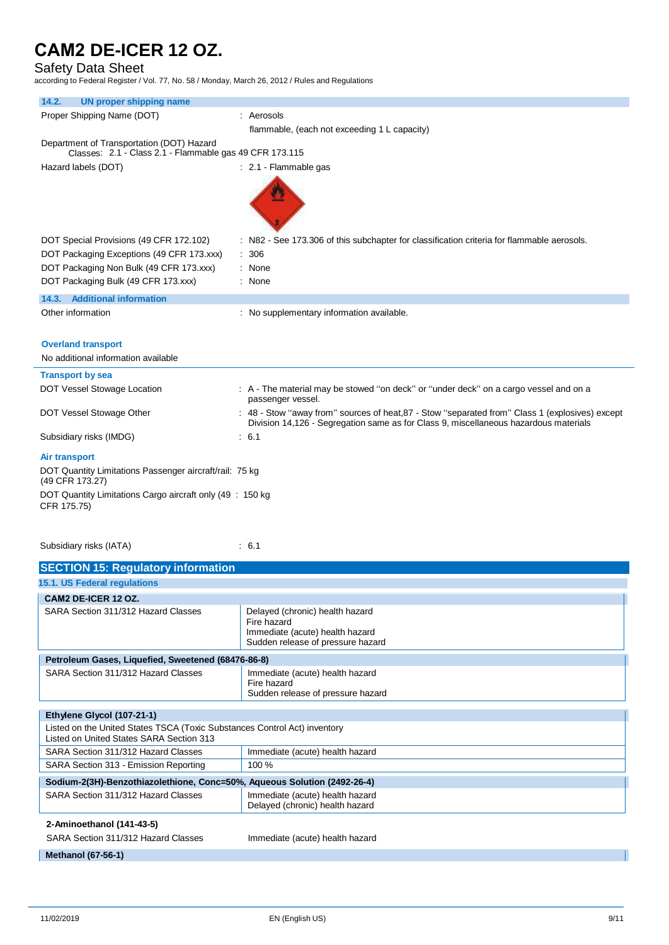## Safety Data Sheet

according to Federal Register / Vol. 77, No. 58 / Monday, March 26, 2012 / Rules and Regulations

| <b>UN proper shipping name</b><br>14.2.                                    |                                                                                                                                                                                         |
|----------------------------------------------------------------------------|-----------------------------------------------------------------------------------------------------------------------------------------------------------------------------------------|
| Proper Shipping Name (DOT)                                                 | : Aerosols                                                                                                                                                                              |
|                                                                            | flammable, (each not exceeding 1 L capacity)                                                                                                                                            |
| Department of Transportation (DOT) Hazard                                  |                                                                                                                                                                                         |
| Classes: 2.1 - Class 2.1 - Flammable gas 49 CFR 173.115                    |                                                                                                                                                                                         |
| Hazard labels (DOT)                                                        | : 2.1 - Flammable gas                                                                                                                                                                   |
|                                                                            |                                                                                                                                                                                         |
| DOT Special Provisions (49 CFR 172.102)                                    | : N82 - See 173.306 of this subchapter for classification criteria for flammable aerosols.                                                                                              |
| DOT Packaging Exceptions (49 CFR 173.xxx)                                  | : 306                                                                                                                                                                                   |
| DOT Packaging Non Bulk (49 CFR 173.xxx)                                    | : None                                                                                                                                                                                  |
| DOT Packaging Bulk (49 CFR 173.xxx)                                        | : None                                                                                                                                                                                  |
| 14.3. Additional information                                               |                                                                                                                                                                                         |
| Other information                                                          | : No supplementary information available.                                                                                                                                               |
|                                                                            |                                                                                                                                                                                         |
| <b>Overland transport</b>                                                  |                                                                                                                                                                                         |
| No additional information available                                        |                                                                                                                                                                                         |
| <b>Transport by sea</b>                                                    |                                                                                                                                                                                         |
|                                                                            |                                                                                                                                                                                         |
| DOT Vessel Stowage Location                                                | : A - The material may be stowed "on deck" or "under deck" on a cargo vessel and on a<br>passenger vessel.                                                                              |
| DOT Vessel Stowage Other                                                   | : 48 - Stow "away from" sources of heat, 87 - Stow "separated from" Class 1 (explosives) except<br>Division 14,126 - Segregation same as for Class 9, miscellaneous hazardous materials |
| Subsidiary risks (IMDG)                                                    | : 6.1                                                                                                                                                                                   |
| <b>Air transport</b>                                                       |                                                                                                                                                                                         |
| DOT Quantity Limitations Passenger aircraft/rail: 75 kg<br>(49 CFR 173.27) |                                                                                                                                                                                         |
| DOT Quantity Limitations Cargo aircraft only (49 : 150 kg)<br>CFR 175.75)  |                                                                                                                                                                                         |
| Subsidiary risks (IATA)                                                    | : 6.1                                                                                                                                                                                   |

### **SECTION 15: Regulatory information**

| a sa mga bangayong pag-agay ng pagpagayong pag-agayong pag-agayong pag-agayong pag-agayong pag-agayong pag-agay       |                                                                                                                        |  |  |
|-----------------------------------------------------------------------------------------------------------------------|------------------------------------------------------------------------------------------------------------------------|--|--|
| 15.1. US Federal regulations                                                                                          |                                                                                                                        |  |  |
| CAM2 DE-ICER 12 OZ.                                                                                                   |                                                                                                                        |  |  |
| SARA Section 311/312 Hazard Classes                                                                                   | Delayed (chronic) health hazard<br>Fire hazard<br>Immediate (acute) health hazard<br>Sudden release of pressure hazard |  |  |
|                                                                                                                       | Petroleum Gases, Liquefied, Sweetened (68476-86-8)                                                                     |  |  |
| SARA Section 311/312 Hazard Classes                                                                                   | Immediate (acute) health hazard<br>Fire hazard<br>Sudden release of pressure hazard                                    |  |  |
|                                                                                                                       |                                                                                                                        |  |  |
| Ethylene Glycol (107-21-1)                                                                                            |                                                                                                                        |  |  |
| Listed on the United States TSCA (Toxic Substances Control Act) inventory<br>Listed on United States SARA Section 313 |                                                                                                                        |  |  |
| SARA Section 311/312 Hazard Classes<br>Immediate (acute) health hazard                                                |                                                                                                                        |  |  |
| SARA Section 313 - Emission Reporting                                                                                 | 100%                                                                                                                   |  |  |
| Sodium-2(3H)-Benzothiazolethione, Conc=50%, Aqueous Solution (2492-26-4)                                              |                                                                                                                        |  |  |
| SARA Section 311/312 Hazard Classes                                                                                   | Immediate (acute) health hazard<br>Delayed (chronic) health hazard                                                     |  |  |
| 2-Aminoethanol (141-43-5)                                                                                             |                                                                                                                        |  |  |
| SARA Section 311/312 Hazard Classes                                                                                   | Immediate (acute) health hazard                                                                                        |  |  |
| <b>Methanol (67-56-1)</b>                                                                                             |                                                                                                                        |  |  |

#### **Methanol (67-56-1)**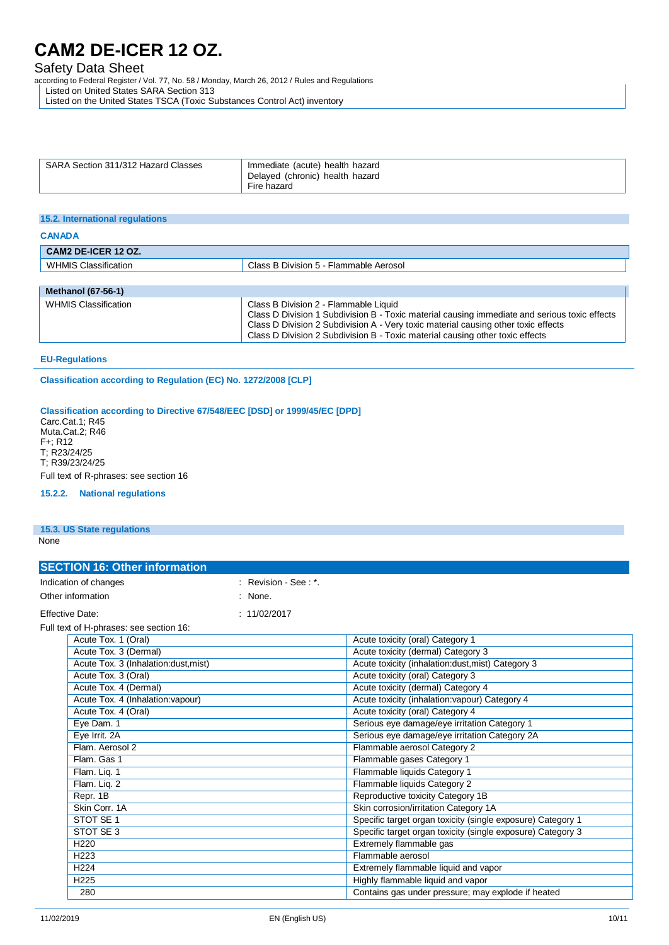### Safety Data Sheet

according to Federal Register / Vol. 77, No. 58 / Monday, March 26, 2012 / Rules and Regulations

Listed on United States SARA Section 313

Listed on the United States TSCA (Toxic Substances Control Act) inventory

| SARA Section 311/312 Hazard Classes | Immediate (acute) health hazard<br>Delayed (chronic) health hazard |
|-------------------------------------|--------------------------------------------------------------------|
|                                     | Fire hazard                                                        |

#### **15.2. International regulations**

| <b>CANADA</b>             |                                         |  |
|---------------------------|-----------------------------------------|--|
| CAM2 DE-ICER 12 OZ.       |                                         |  |
| WHMIS Classification      | Class B Division 5 - Flammable Aerosol  |  |
|                           |                                         |  |
| <b>Methanol (67-56-1)</b> |                                         |  |
| $101111110 \text{ O}$     | Clear D. Division O. Florenceble Liquid |  |

#### WHMIS Classification **Class B Division 2** - Flammable Liquid Class D Division 1 Subdivision B - Toxic material causing immediate and serious toxic effects Class D Division 2 Subdivision A - Very toxic material causing other toxic effects Class D Division 2 Subdivision B - Toxic material causing other toxic effects

#### **EU-Regulations**

**Classification according to Regulation (EC) No. 1272/2008 [CLP]**

### **Classification according to Directive 67/548/EEC [DSD] or 1999/45/EC [DPD]**

Carc.Cat.1; R45 Muta.Cat.2; R46 F+; R12 T; R23/24/25 T; R39/23/24/25 Full text of R-phrases: see section 16

#### **15.2.2. National regulations**

#### **15.3. US State regulations**

None

| <b>SECTION 16: Other information</b> |                                         |                      |                                                    |
|--------------------------------------|-----------------------------------------|----------------------|----------------------------------------------------|
|                                      | Indication of changes                   | : Revision - See: *. |                                                    |
|                                      | Other information                       | $:$ None.            |                                                    |
|                                      | <b>Effective Date:</b>                  | : 11/02/2017         |                                                    |
|                                      | Full text of H-phrases: see section 16: |                      |                                                    |
|                                      | Acute Tox. 1 (Oral)                     |                      | Acute toxicity (oral) Category 1                   |
|                                      | Acute Tox. 3 (Dermal)                   |                      | Acute toxicity (dermal) Category 3                 |
|                                      | Aguta Tay 2 Unhalation duot mint)       |                      | A quie to viole (inholation duot mint) Cotogon (2) |

| T                                    | Acalc toxicity (actition) batcaoly of                       |
|--------------------------------------|-------------------------------------------------------------|
| Acute Tox. 3 (Inhalation:dust, mist) | Acute toxicity (inhalation:dust, mist) Category 3           |
| Acute Tox. 3 (Oral)                  | Acute toxicity (oral) Category 3                            |
| Acute Tox. 4 (Dermal)                | Acute toxicity (dermal) Category 4                          |
| Acute Tox. 4 (Inhalation: vapour)    | Acute toxicity (inhalation: vapour) Category 4              |
| Acute Tox. 4 (Oral)                  | Acute toxicity (oral) Category 4                            |
| Eye Dam. 1                           | Serious eye damage/eye irritation Category 1                |
| Eye Irrit. 2A                        | Serious eye damage/eye irritation Category 2A               |
| Flam. Aerosol 2                      | Flammable aerosol Category 2                                |
| Flam. Gas 1                          | Flammable gases Category 1                                  |
| Flam. Liq. 1                         | Flammable liquids Category 1                                |
| Flam. Liq. 2                         | Flammable liquids Category 2                                |
| Repr. 1B                             | Reproductive toxicity Category 1B                           |
| Skin Corr. 1A                        | Skin corrosion/irritation Category 1A                       |
| STOT SE 1                            | Specific target organ toxicity (single exposure) Category 1 |
| STOT SE 3                            | Specific target organ toxicity (single exposure) Category 3 |
| H <sub>220</sub>                     | Extremely flammable gas                                     |
| H <sub>223</sub>                     | Flammable aerosol                                           |
| H <sub>224</sub>                     | Extremely flammable liquid and vapor                        |
| H <sub>225</sub>                     | Highly flammable liquid and vapor                           |
| 280                                  | Contains gas under pressure; may explode if heated          |
|                                      |                                                             |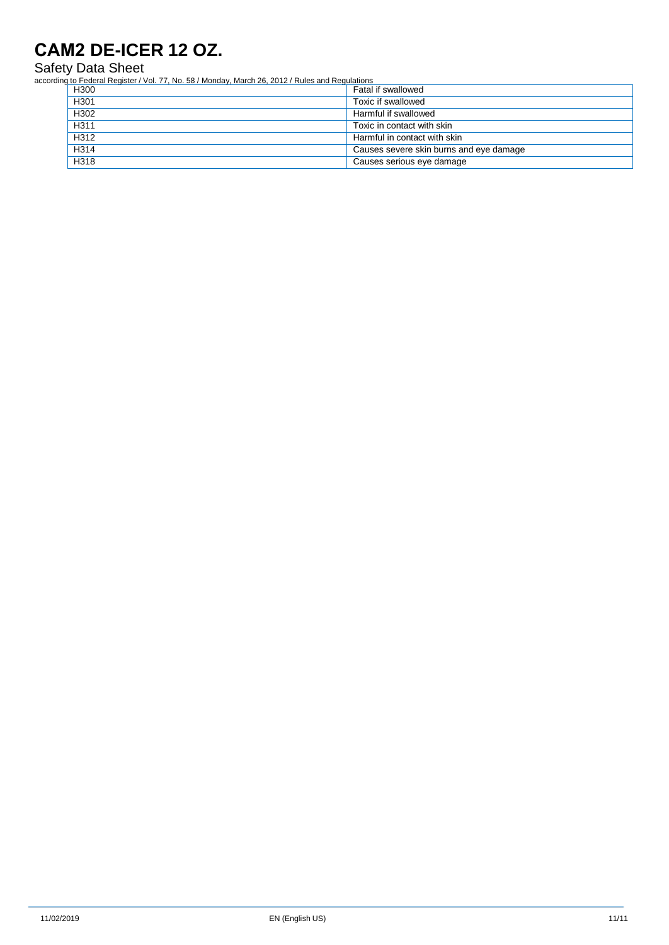Safety Data Sheet

according to Federal Register / Vol. 77, No. 58 / Monday, March 26, 2012 / Rules and Regulations

| H300             | Fatal if swallowed                      |
|------------------|-----------------------------------------|
| H301             | Toxic if swallowed                      |
| H <sub>302</sub> | Harmful if swallowed                    |
| H <sub>311</sub> | Toxic in contact with skin              |
| H312             | Harmful in contact with skin            |
| H314             | Causes severe skin burns and eye damage |
| H318             | Causes serious eye damage               |